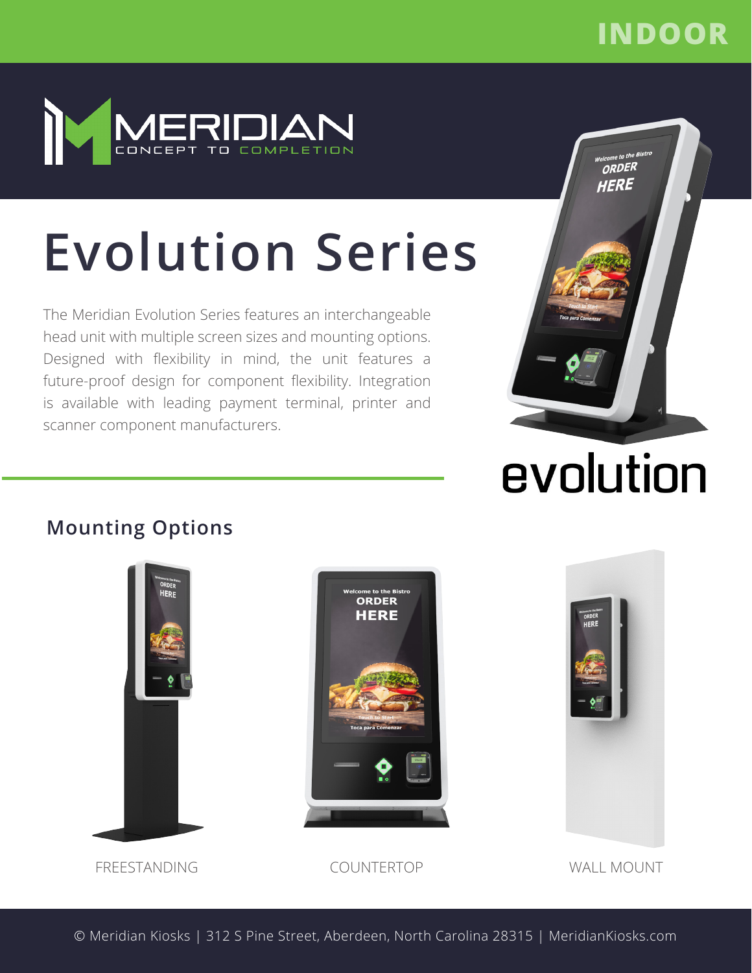# **INDOOR**



# **Evolution Series**

The Meridian Evolution Series features an interchangeable head unit with multiple screen sizes and mounting options. Designed with flexibility in mind, the unit features a future-proof design for component flexibility. Integration is available with leading payment terminal, printer and scanner component manufacturers.



# evolution

## **Mounting Options**